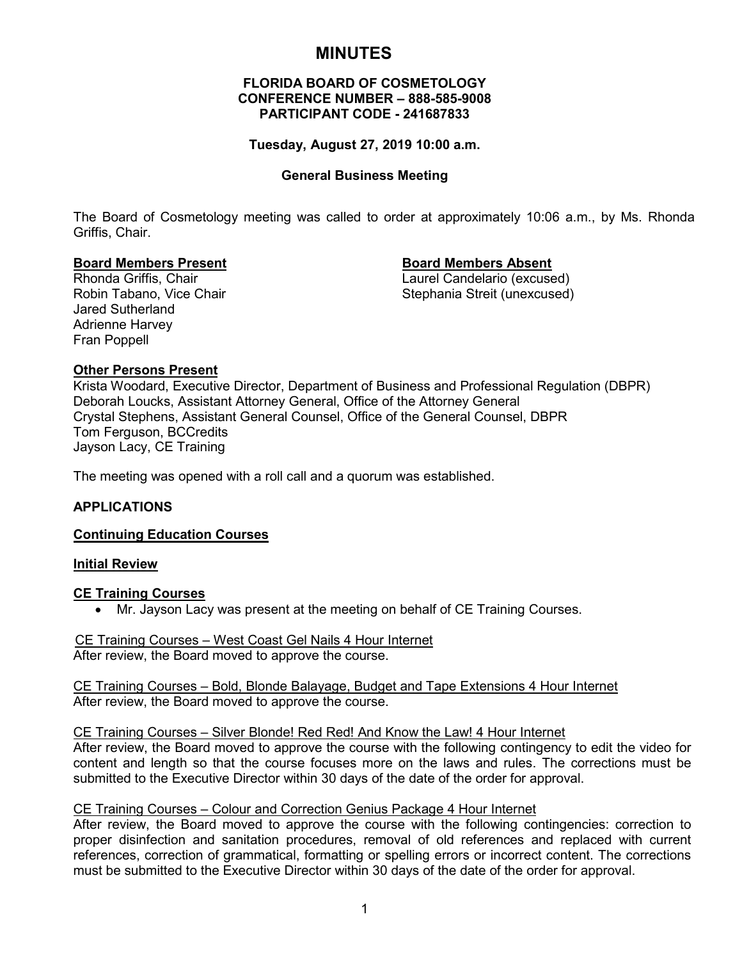# **MINUTES**

#### **FLORIDA BOARD OF COSMETOLOGY CONFERENCE NUMBER – 888-585-9008 PARTICIPANT CODE - 241687833**

#### **Tuesday, August 27, 2019 10:00 a.m.**

#### **General Business Meeting**

The Board of Cosmetology meeting was called to order at approximately 10:06 a.m., by Ms. Rhonda Griffis, Chair.

#### **Board Members Present Board Members Absent**

Rhonda Griffis, Chair (and Eileann and Laurel Candelario (excused)<br>Robin Tabano, Vice Chair (and Eileann and Stephania Streit (unexcused) Stephania Streit (unexcused)

Jared Sutherland Adrienne Harvey Fran Poppell

#### **Other Persons Present**

Krista Woodard, Executive Director, Department of Business and Professional Regulation (DBPR) Deborah Loucks, Assistant Attorney General, Office of the Attorney General Crystal Stephens, Assistant General Counsel, Office of the General Counsel, DBPR Tom Ferguson, BCCredits Jayson Lacy, CE Training

The meeting was opened with a roll call and a quorum was established.

### **APPLICATIONS**

#### **Continuing Education Courses**

#### **Initial Review**

#### **CE Training Courses**

• Mr. Jayson Lacy was present at the meeting on behalf of CE Training Courses.

#### CE Training Courses – West Coast Gel Nails 4 Hour Internet After review, the Board moved to approve the course.

#### CE Training Courses – Bold, Blonde Balayage, Budget and Tape Extensions 4 Hour Internet After review, the Board moved to approve the course.

#### CE Training Courses – Silver Blonde! Red Red! And Know the Law! 4 Hour Internet

After review, the Board moved to approve the course with the following contingency to edit the video for content and length so that the course focuses more on the laws and rules. The corrections must be submitted to the Executive Director within 30 days of the date of the order for approval.

#### CE Training Courses – Colour and Correction Genius Package 4 Hour Internet

After review, the Board moved to approve the course with the following contingencies: correction to proper disinfection and sanitation procedures, removal of old references and replaced with current references, correction of grammatical, formatting or spelling errors or incorrect content. The corrections must be submitted to the Executive Director within 30 days of the date of the order for approval.